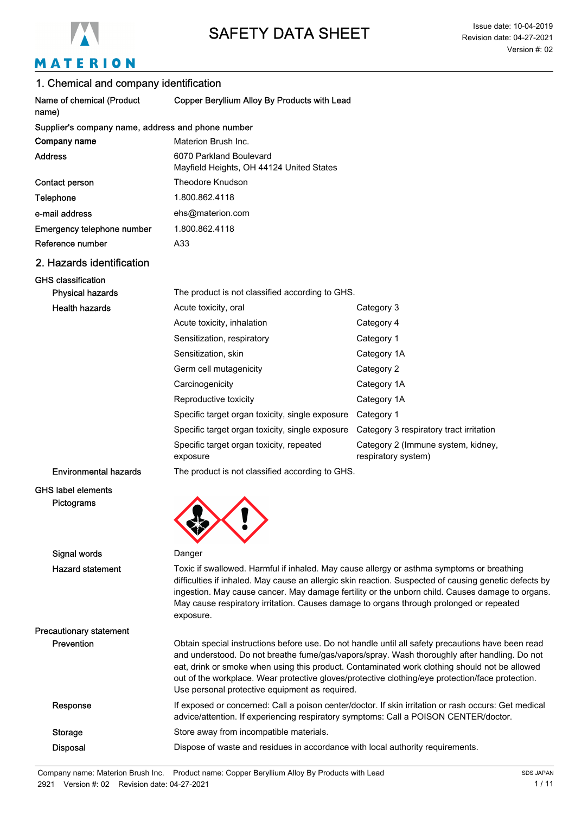

# MATERION

| 1. Chemical and company identification            |                                                                                                                                                                                                                                                                                                                                                                                                                                                          |                                                           |  |  |
|---------------------------------------------------|----------------------------------------------------------------------------------------------------------------------------------------------------------------------------------------------------------------------------------------------------------------------------------------------------------------------------------------------------------------------------------------------------------------------------------------------------------|-----------------------------------------------------------|--|--|
| Name of chemical (Product<br>name)                | Copper Beryllium Alloy By Products with Lead                                                                                                                                                                                                                                                                                                                                                                                                             |                                                           |  |  |
| Supplier's company name, address and phone number |                                                                                                                                                                                                                                                                                                                                                                                                                                                          |                                                           |  |  |
| Company name                                      | Materion Brush Inc.                                                                                                                                                                                                                                                                                                                                                                                                                                      |                                                           |  |  |
| <b>Address</b>                                    | 6070 Parkland Boulevard<br>Mayfield Heights, OH 44124 United States                                                                                                                                                                                                                                                                                                                                                                                      |                                                           |  |  |
| Contact person                                    | Theodore Knudson                                                                                                                                                                                                                                                                                                                                                                                                                                         |                                                           |  |  |
| Telephone                                         | 1.800.862.4118                                                                                                                                                                                                                                                                                                                                                                                                                                           |                                                           |  |  |
| e-mail address                                    | ehs@materion.com                                                                                                                                                                                                                                                                                                                                                                                                                                         |                                                           |  |  |
| Emergency telephone number                        | 1.800.862.4118                                                                                                                                                                                                                                                                                                                                                                                                                                           |                                                           |  |  |
| Reference number                                  | A33                                                                                                                                                                                                                                                                                                                                                                                                                                                      |                                                           |  |  |
| 2. Hazards identification                         |                                                                                                                                                                                                                                                                                                                                                                                                                                                          |                                                           |  |  |
| <b>GHS classification</b>                         |                                                                                                                                                                                                                                                                                                                                                                                                                                                          |                                                           |  |  |
| <b>Physical hazards</b>                           | The product is not classified according to GHS.                                                                                                                                                                                                                                                                                                                                                                                                          |                                                           |  |  |
| <b>Health hazards</b>                             | Acute toxicity, oral                                                                                                                                                                                                                                                                                                                                                                                                                                     | Category 3                                                |  |  |
|                                                   | Acute toxicity, inhalation                                                                                                                                                                                                                                                                                                                                                                                                                               | Category 4                                                |  |  |
|                                                   | Sensitization, respiratory                                                                                                                                                                                                                                                                                                                                                                                                                               | Category 1                                                |  |  |
|                                                   | Sensitization, skin                                                                                                                                                                                                                                                                                                                                                                                                                                      | Category 1A                                               |  |  |
|                                                   | Germ cell mutagenicity                                                                                                                                                                                                                                                                                                                                                                                                                                   | Category 2                                                |  |  |
|                                                   | Carcinogenicity                                                                                                                                                                                                                                                                                                                                                                                                                                          | Category 1A                                               |  |  |
|                                                   | Reproductive toxicity                                                                                                                                                                                                                                                                                                                                                                                                                                    | Category 1A                                               |  |  |
|                                                   | Specific target organ toxicity, single exposure                                                                                                                                                                                                                                                                                                                                                                                                          | Category 1                                                |  |  |
|                                                   | Specific target organ toxicity, single exposure                                                                                                                                                                                                                                                                                                                                                                                                          | Category 3 respiratory tract irritation                   |  |  |
|                                                   | Specific target organ toxicity, repeated<br>exposure                                                                                                                                                                                                                                                                                                                                                                                                     | Category 2 (Immune system, kidney,<br>respiratory system) |  |  |
| <b>Environmental hazards</b>                      | The product is not classified according to GHS.                                                                                                                                                                                                                                                                                                                                                                                                          |                                                           |  |  |
| <b>GHS label elements</b><br>Pictograms           |                                                                                                                                                                                                                                                                                                                                                                                                                                                          |                                                           |  |  |
| Signal words                                      | Danger                                                                                                                                                                                                                                                                                                                                                                                                                                                   |                                                           |  |  |
| <b>Hazard statement</b>                           | Toxic if swallowed. Harmful if inhaled. May cause allergy or asthma symptoms or breathing<br>difficulties if inhaled. May cause an allergic skin reaction. Suspected of causing genetic defects by<br>ingestion. May cause cancer. May damage fertility or the unborn child. Causes damage to organs.<br>May cause respiratory irritation. Causes damage to organs through prolonged or repeated<br>exposure.                                            |                                                           |  |  |
| <b>Precautionary statement</b>                    |                                                                                                                                                                                                                                                                                                                                                                                                                                                          |                                                           |  |  |
| Prevention                                        | Obtain special instructions before use. Do not handle until all safety precautions have been read<br>and understood. Do not breathe fume/gas/vapors/spray. Wash thoroughly after handling. Do not<br>eat, drink or smoke when using this product. Contaminated work clothing should not be allowed<br>out of the workplace. Wear protective gloves/protective clothing/eye protection/face protection.<br>Use personal protective equipment as required. |                                                           |  |  |
| Response                                          | If exposed or concerned: Call a poison center/doctor. If skin irritation or rash occurs: Get medical<br>advice/attention. If experiencing respiratory symptoms: Call a POISON CENTER/doctor.                                                                                                                                                                                                                                                             |                                                           |  |  |
| <b>Storage</b>                                    | Store away from incompatible materials.                                                                                                                                                                                                                                                                                                                                                                                                                  |                                                           |  |  |
| <b>Disposal</b>                                   | Dispose of waste and residues in accordance with local authority requirements.                                                                                                                                                                                                                                                                                                                                                                           |                                                           |  |  |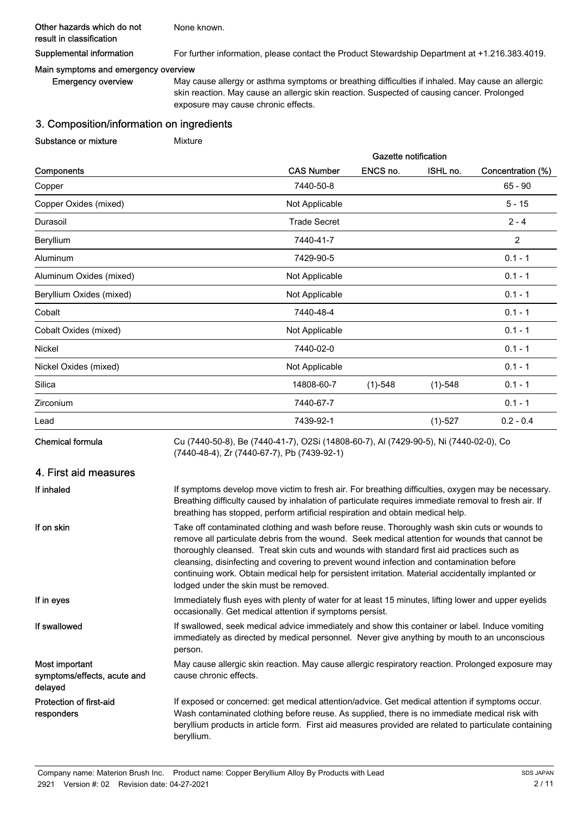#### Other hazards which do not result in classification

Supplemental information For further information, please contact the Product Stewardship Department at +1.216.383.4019.

#### Main symptoms and emergency overview

Emergency overview

May cause allergy or asthma symptoms or breathing difficulties if inhaled. May cause an allergic skin reaction. May cause an allergic skin reaction. Suspected of causing cancer. Prolonged exposure may cause chronic effects.

Gazette notification

## 3. Composition/information on ingredients

Substance or mixture Mixture

None known.

|                          | Gazelle Hollicalion                  |           |           |                   |  |
|--------------------------|--------------------------------------|-----------|-----------|-------------------|--|
| Components               | <b>CAS Number</b>                    | ENCS no.  | ISHL no.  | Concentration (%) |  |
| Copper                   | 7440-50-8                            | $65 - 90$ |           |                   |  |
| Copper Oxides (mixed)    | $5 - 15$<br>Not Applicable           |           |           |                   |  |
| Durasoil                 | <b>Trade Secret</b><br>$2 - 4$       |           |           |                   |  |
| Beryllium                | 7440-41-7                            |           |           | 2                 |  |
| Aluminum                 | 7429-90-5                            |           |           | $0.1 - 1$         |  |
| Aluminum Oxides (mixed)  | Not Applicable<br>$0.1 - 1$          |           |           |                   |  |
| Beryllium Oxides (mixed) | Not Applicable<br>$0.1 - 1$          |           |           |                   |  |
| Cobalt                   | 7440-48-4<br>$0.1 - 1$               |           |           |                   |  |
| Cobalt Oxides (mixed)    | $0.1 - 1$<br>Not Applicable          |           |           |                   |  |
| Nickel                   | 7440-02-0<br>$0.1 - 1$               |           |           |                   |  |
| Nickel Oxides (mixed)    | $0.1 - 1$<br>Not Applicable          |           |           |                   |  |
| Silica                   | 14808-60-7<br>$(1)-548$<br>$(1)-548$ |           |           |                   |  |
| Zirconium                | 7440-67-7                            |           |           | $0.1 - 1$         |  |
| Lead                     | 7439-92-1                            |           | $(1)-527$ | $0.2 - 0.4$       |  |
|                          |                                      |           |           |                   |  |

Chemical formula

Cu (7440-50-8), Be (7440-41-7), O2Si (14808-60-7), Al (7429-90-5), Ni (7440-02-0), Co (7440-48-4), Zr (7440-67-7), Pb (7439-92-1)

## 4. First aid measures

| If inhaled                                               | If symptoms develop move victim to fresh air. For breathing difficulties, oxygen may be necessary.<br>Breathing difficulty caused by inhalation of particulate requires immediate removal to fresh air. If<br>breathing has stopped, perform artificial respiration and obtain medical help.                                                                                                                                                                                                                                            |
|----------------------------------------------------------|-----------------------------------------------------------------------------------------------------------------------------------------------------------------------------------------------------------------------------------------------------------------------------------------------------------------------------------------------------------------------------------------------------------------------------------------------------------------------------------------------------------------------------------------|
| If on skin                                               | Take off contaminated clothing and wash before reuse. Thoroughly wash skin cuts or wounds to<br>remove all particulate debris from the wound. Seek medical attention for wounds that cannot be<br>thoroughly cleansed. Treat skin cuts and wounds with standard first aid practices such as<br>cleansing, disinfecting and covering to prevent wound infection and contamination before<br>continuing work. Obtain medical help for persistent irritation. Material accidentally implanted or<br>lodged under the skin must be removed. |
| If in eyes                                               | Immediately flush eyes with plenty of water for at least 15 minutes, lifting lower and upper eyelids<br>occasionally. Get medical attention if symptoms persist.                                                                                                                                                                                                                                                                                                                                                                        |
| If swallowed                                             | If swallowed, seek medical advice immediately and show this container or label. Induce vomiting<br>immediately as directed by medical personnel. Never give anything by mouth to an unconscious<br>person.                                                                                                                                                                                                                                                                                                                              |
| Most important<br>symptoms/effects, acute and<br>delayed | May cause allergic skin reaction. May cause allergic respiratory reaction. Prolonged exposure may<br>cause chronic effects.                                                                                                                                                                                                                                                                                                                                                                                                             |
| Protection of first-aid<br>responders                    | If exposed or concerned: get medical attention/advice. Get medical attention if symptoms occur.<br>Wash contaminated clothing before reuse. As supplied, there is no immediate medical risk with<br>beryllium products in article form. First aid measures provided are related to particulate containing<br>beryllium.                                                                                                                                                                                                                 |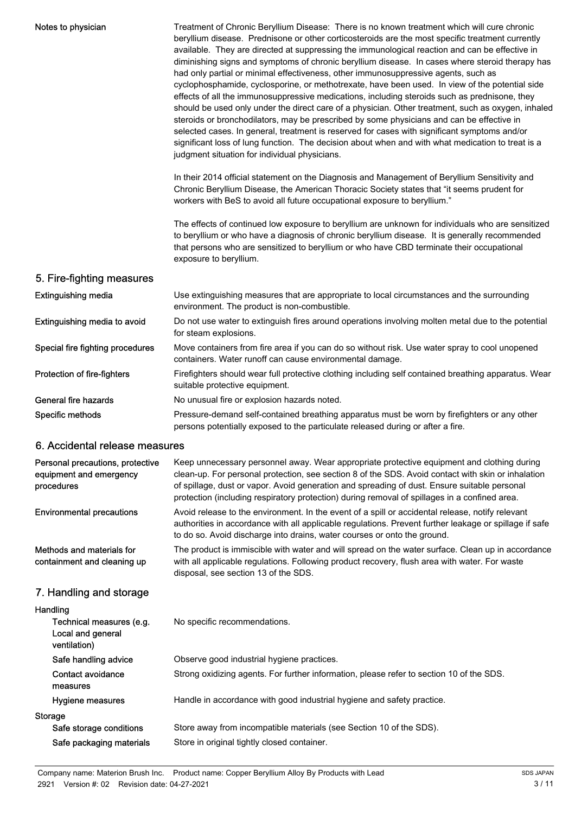| Notes to physician                                                        | Treatment of Chronic Beryllium Disease: There is no known treatment which will cure chronic<br>beryllium disease. Prednisone or other corticosteroids are the most specific treatment currently<br>available. They are directed at suppressing the immunological reaction and can be effective in<br>diminishing signs and symptoms of chronic beryllium disease. In cases where steroid therapy has<br>had only partial or minimal effectiveness, other immunosuppressive agents, such as<br>cyclophosphamide, cyclosporine, or methotrexate, have been used. In view of the potential side<br>effects of all the immunosuppressive medications, including steroids such as prednisone, they<br>should be used only under the direct care of a physician. Other treatment, such as oxygen, inhaled<br>steroids or bronchodilators, may be prescribed by some physicians and can be effective in<br>selected cases. In general, treatment is reserved for cases with significant symptoms and/or<br>significant loss of lung function. The decision about when and with what medication to treat is a<br>judgment situation for individual physicians.<br>In their 2014 official statement on the Diagnosis and Management of Beryllium Sensitivity and<br>Chronic Beryllium Disease, the American Thoracic Society states that "it seems prudent for |
|---------------------------------------------------------------------------|-------------------------------------------------------------------------------------------------------------------------------------------------------------------------------------------------------------------------------------------------------------------------------------------------------------------------------------------------------------------------------------------------------------------------------------------------------------------------------------------------------------------------------------------------------------------------------------------------------------------------------------------------------------------------------------------------------------------------------------------------------------------------------------------------------------------------------------------------------------------------------------------------------------------------------------------------------------------------------------------------------------------------------------------------------------------------------------------------------------------------------------------------------------------------------------------------------------------------------------------------------------------------------------------------------------------------------------------------------|
|                                                                           | workers with BeS to avoid all future occupational exposure to beryllium."<br>The effects of continued low exposure to beryllium are unknown for individuals who are sensitized<br>to beryllium or who have a diagnosis of chronic beryllium disease. It is generally recommended<br>that persons who are sensitized to beryllium or who have CBD terminate their occupational<br>exposure to beryllium.                                                                                                                                                                                                                                                                                                                                                                                                                                                                                                                                                                                                                                                                                                                                                                                                                                                                                                                                               |
| 5. Fire-fighting measures                                                 |                                                                                                                                                                                                                                                                                                                                                                                                                                                                                                                                                                                                                                                                                                                                                                                                                                                                                                                                                                                                                                                                                                                                                                                                                                                                                                                                                       |
| <b>Extinguishing media</b>                                                | Use extinguishing measures that are appropriate to local circumstances and the surrounding<br>environment. The product is non-combustible.                                                                                                                                                                                                                                                                                                                                                                                                                                                                                                                                                                                                                                                                                                                                                                                                                                                                                                                                                                                                                                                                                                                                                                                                            |
| Extinguishing media to avoid                                              | Do not use water to extinguish fires around operations involving molten metal due to the potential<br>for steam explosions.                                                                                                                                                                                                                                                                                                                                                                                                                                                                                                                                                                                                                                                                                                                                                                                                                                                                                                                                                                                                                                                                                                                                                                                                                           |
| Special fire fighting procedures                                          | Move containers from fire area if you can do so without risk. Use water spray to cool unopened<br>containers. Water runoff can cause environmental damage.                                                                                                                                                                                                                                                                                                                                                                                                                                                                                                                                                                                                                                                                                                                                                                                                                                                                                                                                                                                                                                                                                                                                                                                            |
| Protection of fire-fighters                                               | Firefighters should wear full protective clothing including self contained breathing apparatus. Wear<br>suitable protective equipment.                                                                                                                                                                                                                                                                                                                                                                                                                                                                                                                                                                                                                                                                                                                                                                                                                                                                                                                                                                                                                                                                                                                                                                                                                |
| <b>General fire hazards</b>                                               | No unusual fire or explosion hazards noted.                                                                                                                                                                                                                                                                                                                                                                                                                                                                                                                                                                                                                                                                                                                                                                                                                                                                                                                                                                                                                                                                                                                                                                                                                                                                                                           |
| Specific methods                                                          | Pressure-demand self-contained breathing apparatus must be worn by firefighters or any other<br>persons potentially exposed to the particulate released during or after a fire.                                                                                                                                                                                                                                                                                                                                                                                                                                                                                                                                                                                                                                                                                                                                                                                                                                                                                                                                                                                                                                                                                                                                                                       |
| 6. Accidental release measures                                            |                                                                                                                                                                                                                                                                                                                                                                                                                                                                                                                                                                                                                                                                                                                                                                                                                                                                                                                                                                                                                                                                                                                                                                                                                                                                                                                                                       |
| Personal precautions, protective<br>equipment and emergency<br>procedures | Keep unnecessary personnel away. Wear appropriate protective equipment and clothing during<br>clean-up. For personal protection, see section 8 of the SDS. Avoid contact with skin or inhalation<br>of spillage, dust or vapor. Avoid generation and spreading of dust. Ensure suitable personal<br>protection (including respiratory protection) during removal of spillages in a confined area.                                                                                                                                                                                                                                                                                                                                                                                                                                                                                                                                                                                                                                                                                                                                                                                                                                                                                                                                                     |
| <b>Environmental precautions</b>                                          | Avoid release to the environment. In the event of a spill or accidental release, notify relevant<br>authorities in accordance with all applicable regulations. Prevent further leakage or spillage if safe<br>to do so. Avoid discharge into drains, water courses or onto the ground.                                                                                                                                                                                                                                                                                                                                                                                                                                                                                                                                                                                                                                                                                                                                                                                                                                                                                                                                                                                                                                                                |
| Methods and materials for<br>containment and cleaning up                  | The product is immiscible with water and will spread on the water surface. Clean up in accordance<br>with all applicable regulations. Following product recovery, flush area with water. For waste<br>disposal, see section 13 of the SDS.                                                                                                                                                                                                                                                                                                                                                                                                                                                                                                                                                                                                                                                                                                                                                                                                                                                                                                                                                                                                                                                                                                            |
| 7. Handling and storage                                                   |                                                                                                                                                                                                                                                                                                                                                                                                                                                                                                                                                                                                                                                                                                                                                                                                                                                                                                                                                                                                                                                                                                                                                                                                                                                                                                                                                       |

| Handling                                                      |                                                                                          |
|---------------------------------------------------------------|------------------------------------------------------------------------------------------|
| Technical measures (e.g.<br>Local and general<br>ventilation) | No specific recommendations.                                                             |
| Safe handling advice                                          | Observe good industrial hygiene practices.                                               |
| Contact avoidance<br>measures                                 | Strong oxidizing agents. For further information, please refer to section 10 of the SDS. |
| Hygiene measures                                              | Handle in accordance with good industrial hygiene and safety practice.                   |
| Storage                                                       |                                                                                          |
| Safe storage conditions                                       | Store away from incompatible materials (see Section 10 of the SDS).                      |
| Safe packaging materials                                      | Store in original tightly closed container.                                              |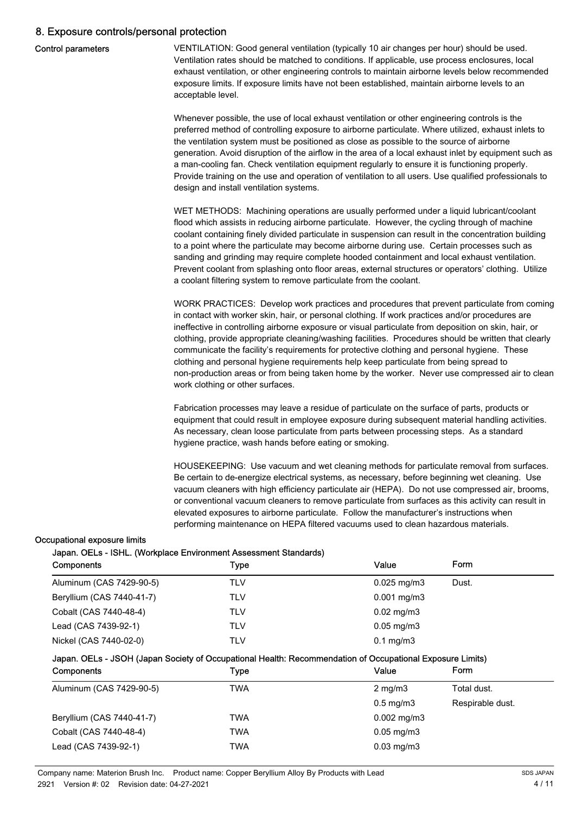## 8. Exposure controls/personal protection

|  | <b>Control parameters</b> |
|--|---------------------------|
|--|---------------------------|

VENTILATION: Good general ventilation (typically 10 air changes per hour) should be used. Ventilation rates should be matched to conditions. If applicable, use process enclosures, local exhaust ventilation, or other engineering controls to maintain airborne levels below recommended exposure limits. If exposure limits have not been established, maintain airborne levels to an acceptable level.

Whenever possible, the use of local exhaust ventilation or other engineering controls is the preferred method of controlling exposure to airborne particulate. Where utilized, exhaust inlets to the ventilation system must be positioned as close as possible to the source of airborne generation. Avoid disruption of the airflow in the area of a local exhaust inlet by equipment such as a man-cooling fan. Check ventilation equipment regularly to ensure it is functioning properly. Provide training on the use and operation of ventilation to all users. Use qualified professionals to design and install ventilation systems.

WET METHODS: Machining operations are usually performed under a liquid lubricant/coolant flood which assists in reducing airborne particulate. However, the cycling through of machine coolant containing finely divided particulate in suspension can result in the concentration building to a point where the particulate may become airborne during use. Certain processes such as sanding and grinding may require complete hooded containment and local exhaust ventilation. Prevent coolant from splashing onto floor areas, external structures or operators' clothing. Utilize a coolant filtering system to remove particulate from the coolant.

WORK PRACTICES: Develop work practices and procedures that prevent particulate from coming in contact with worker skin, hair, or personal clothing. If work practices and/or procedures are ineffective in controlling airborne exposure or visual particulate from deposition on skin, hair, or clothing, provide appropriate cleaning/washing facilities. Procedures should be written that clearly communicate the facility's requirements for protective clothing and personal hygiene. These clothing and personal hygiene requirements help keep particulate from being spread to non-production areas or from being taken home by the worker. Never use compressed air to clean work clothing or other surfaces.

Fabrication processes may leave a residue of particulate on the surface of parts, products or equipment that could result in employee exposure during subsequent material handling activities. As necessary, clean loose particulate from parts between processing steps. As a standard hygiene practice, wash hands before eating or smoking.

HOUSEKEEPING: Use vacuum and wet cleaning methods for particulate removal from surfaces. Be certain to de-energize electrical systems, as necessary, before beginning wet cleaning. Use vacuum cleaners with high efficiency particulate air (HEPA). Do not use compressed air, brooms, or conventional vacuum cleaners to remove particulate from surfaces as this activity can result in elevated exposures to airborne particulate. Follow the manufacturer's instructions when performing maintenance on HEPA filtered vacuums used to clean hazardous materials.

#### Occupational exposure limits

## Japan. OELs - ISHL. (Workplace Environment Assessment Standards)

| Components                | Type | Value                   | Form  |
|---------------------------|------|-------------------------|-------|
| Aluminum (CAS 7429-90-5)  | TLV  | $0.025 \,\mathrm{mg/m}$ | Dust. |
| Beryllium (CAS 7440-41-7) | TLV  | $0.001$ mg/m3           |       |
| Cobalt (CAS 7440-48-4)    | TLV  | $0.02 \text{ mg/m}$ 3   |       |
| Lead (CAS 7439-92-1)      | TLV  | $0.05$ mg/m $3$         |       |
| Nickel (CAS 7440-02-0)    | TLV  | $0.1 \text{ mg/m}$ 3    |       |

## Japan. OELs - JSOH (Japan Society of Occupational Health: Recommendation of Occupational Exposure Limits)

| <b>Components</b>         | Type | Value                   | Form             |
|---------------------------|------|-------------------------|------------------|
| Aluminum (CAS 7429-90-5)  | TWA  | $2 \text{ mg/m}$        | Total dust.      |
|                           |      | $0.5 \text{ mg/m}$ 3    | Respirable dust. |
| Beryllium (CAS 7440-41-7) | TWA  | $0.002 \text{ mg/m}$ 3  |                  |
| Cobalt (CAS 7440-48-4)    | TWA  | $0.05 \,\mathrm{mg/m3}$ |                  |
| Lead (CAS 7439-92-1)      | TWA  | $0.03$ mg/m $3$         |                  |

Company name: Materion Brush Inc. Product name: Copper Beryllium Alloy By Products with Lead 2921 Version #: 02 Revision date: 04-27-2021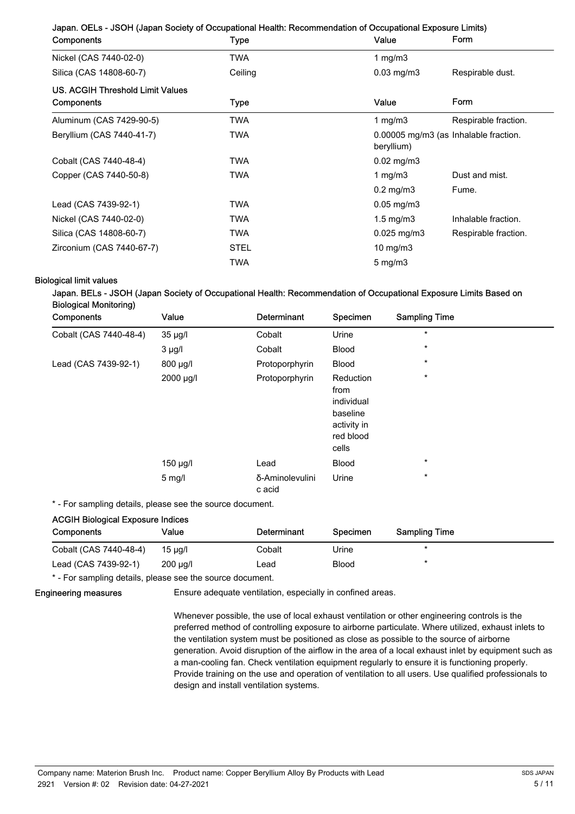| Components                       | Type        | Value                                               | Form                 |
|----------------------------------|-------------|-----------------------------------------------------|----------------------|
| Nickel (CAS 7440-02-0)           | TWA         | 1 mg/m $3$                                          |                      |
| Silica (CAS 14808-60-7)          | Ceiling     | $0.03$ mg/m $3$<br>Respirable dust.                 |                      |
| US. ACGIH Threshold Limit Values |             |                                                     |                      |
| Components                       | Type        | Value                                               | Form                 |
| Aluminum (CAS 7429-90-5)         | TWA         | 1 mg/m $3$                                          | Respirable fraction. |
| Beryllium (CAS 7440-41-7)        | <b>TWA</b>  | 0.00005 mg/m3 (as Inhalable fraction.<br>beryllium) |                      |
| Cobalt (CAS 7440-48-4)           | <b>TWA</b>  | $0.02 \,\mathrm{mg/m3}$                             |                      |
| Copper (CAS 7440-50-8)           | <b>TWA</b>  | 1 mg/m $3$                                          | Dust and mist.       |
|                                  |             | $0.2$ mg/m $3$                                      | Fume.                |
| Lead (CAS 7439-92-1)             | <b>TWA</b>  | $0.05$ mg/m $3$                                     |                      |
| Nickel (CAS 7440-02-0)           | <b>TWA</b>  | $1.5 \text{ mg/m}$ 3                                | Inhalable fraction.  |
| Silica (CAS 14808-60-7)          | <b>TWA</b>  | $0.025$ mg/m $3$                                    | Respirable fraction. |
| Zirconium (CAS 7440-67-7)        | <b>STEL</b> | 10 mg/m $3$                                         |                      |
|                                  | TWA         | $5 \text{ mg/m}$                                    |                      |

## Biological limit values

## Japan. BELs - JSOH (Japan Society of Occupational Health: Recommendation of Occupational Exposure Limits Based on Biological Monitoring)

| Components             | Value       | Determinant               | Specimen                                                                         | <b>Sampling Time</b> |  |
|------------------------|-------------|---------------------------|----------------------------------------------------------------------------------|----------------------|--|
| Cobalt (CAS 7440-48-4) | 35 µg/l     | Cobalt                    | Urine                                                                            | $\star$              |  |
|                        | $3 \mu g/l$ | Cobalt                    | <b>Blood</b>                                                                     | $\star$              |  |
| Lead (CAS 7439-92-1)   | 800 µg/l    | Protoporphyrin            | <b>Blood</b>                                                                     | $\star$              |  |
|                        | 2000 µg/l   | Protoporphyrin            | Reduction<br>from<br>individual<br>baseline<br>activity in<br>red blood<br>cells | $\star$              |  |
|                        | 150 µg/l    | Lead                      | Blood                                                                            | $\star$              |  |
|                        | $5$ mg/l    | δ-Aminolevulini<br>c acid | Urine                                                                            | $\star$              |  |

\* - For sampling details, please see the source document.

# ACGIH Biological Exposure Indices

| Components             | Value         | Determinant | Specimen     | <b>Sampling Time</b> |
|------------------------|---------------|-------------|--------------|----------------------|
| Cobalt (CAS 7440-48-4) | 15 µg/l       | Cobalt      | Urine        |                      |
| Lead (CAS 7439-92-1)   | $200 \mu q/l$ | Lead        | <b>Blood</b> |                      |

\* - For sampling details, please see the source document.

## Engineering measures

Ensure adequate ventilation, especially in confined areas.

Whenever possible, the use of local exhaust ventilation or other engineering controls is the preferred method of controlling exposure to airborne particulate. Where utilized, exhaust inlets to the ventilation system must be positioned as close as possible to the source of airborne generation. Avoid disruption of the airflow in the area of a local exhaust inlet by equipment such as a man-cooling fan. Check ventilation equipment regularly to ensure it is functioning properly. Provide training on the use and operation of ventilation to all users. Use qualified professionals to design and install ventilation systems.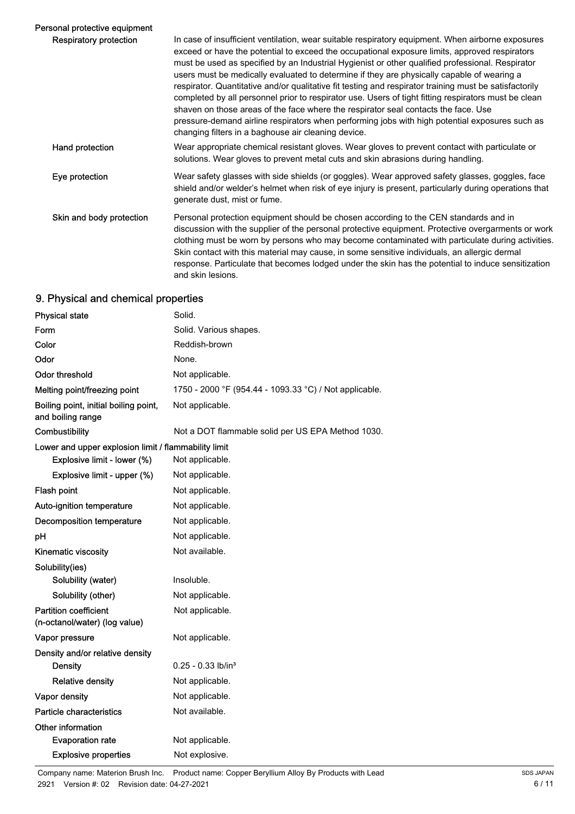| Personal protective equipment |                                                                                                                                                                                                                                                                                                                                                                                                                                                                                                                                                                                                                                                                                                                                                                                                                                                                       |
|-------------------------------|-----------------------------------------------------------------------------------------------------------------------------------------------------------------------------------------------------------------------------------------------------------------------------------------------------------------------------------------------------------------------------------------------------------------------------------------------------------------------------------------------------------------------------------------------------------------------------------------------------------------------------------------------------------------------------------------------------------------------------------------------------------------------------------------------------------------------------------------------------------------------|
| Respiratory protection        | In case of insufficient ventilation, wear suitable respiratory equipment. When airborne exposures<br>exceed or have the potential to exceed the occupational exposure limits, approved respirators<br>must be used as specified by an Industrial Hygienist or other qualified professional. Respirator<br>users must be medically evaluated to determine if they are physically capable of wearing a<br>respirator. Quantitative and/or qualitative fit testing and respirator training must be satisfactorily<br>completed by all personnel prior to respirator use. Users of tight fitting respirators must be clean<br>shaven on those areas of the face where the respirator seal contacts the face. Use<br>pressure-demand airline respirators when performing jobs with high potential exposures such as<br>changing filters in a baghouse air cleaning device. |
| Hand protection               | Wear appropriate chemical resistant gloves. Wear gloves to prevent contact with particulate or<br>solutions. Wear gloves to prevent metal cuts and skin abrasions during handling.                                                                                                                                                                                                                                                                                                                                                                                                                                                                                                                                                                                                                                                                                    |
| Eye protection                | Wear safety glasses with side shields (or goggles). Wear approved safety glasses, goggles, face<br>shield and/or welder's helmet when risk of eye injury is present, particularly during operations that<br>generate dust, mist or fume.                                                                                                                                                                                                                                                                                                                                                                                                                                                                                                                                                                                                                              |
| Skin and body protection      | Personal protection equipment should be chosen according to the CEN standards and in<br>discussion with the supplier of the personal protective equipment. Protective overgarments or work<br>clothing must be worn by persons who may become contaminated with particulate during activities.<br>Skin contact with this material may cause, in some sensitive individuals, an allergic dermal<br>response. Particulate that becomes lodged under the skin has the potential to induce sensitization<br>and skin lesions.                                                                                                                                                                                                                                                                                                                                             |

## 9. Physical and chemical properties

| <b>Physical state</b>                                         | Solid.                                                 |
|---------------------------------------------------------------|--------------------------------------------------------|
| Form                                                          | Solid. Various shapes.                                 |
| Color                                                         | Reddish-brown                                          |
| Odor                                                          | None.                                                  |
| Odor threshold                                                | Not applicable.                                        |
| Melting point/freezing point                                  | 1750 - 2000 °F (954.44 - 1093.33 °C) / Not applicable. |
| Boiling point, initial boiling point,<br>and boiling range    | Not applicable.                                        |
| Combustibility                                                | Not a DOT flammable solid per US EPA Method 1030.      |
| Lower and upper explosion limit / flammability limit          |                                                        |
| Explosive limit - lower (%)                                   | Not applicable.                                        |
| Explosive limit - upper (%)                                   | Not applicable.                                        |
| Flash point                                                   | Not applicable.                                        |
| Auto-ignition temperature                                     | Not applicable.                                        |
| Decomposition temperature                                     | Not applicable.                                        |
| рH                                                            | Not applicable.                                        |
| Kinematic viscosity                                           | Not available.                                         |
| Solubility(ies)                                               |                                                        |
| Solubility (water)                                            | Insoluble.                                             |
| Solubility (other)                                            | Not applicable.                                        |
| <b>Partition coefficient</b><br>(n-octanol/water) (log value) | Not applicable.                                        |
| Vapor pressure                                                | Not applicable.                                        |
| Density and/or relative density                               |                                                        |
| <b>Density</b>                                                | $0.25 - 0.33$ lb/in <sup>3</sup>                       |
| <b>Relative density</b>                                       | Not applicable.                                        |
| Vapor density                                                 | Not applicable.                                        |
| Particle characteristics                                      | Not available.                                         |
| Other information                                             |                                                        |
| <b>Evaporation rate</b>                                       | Not applicable.                                        |
| <b>Explosive properties</b>                                   | Not explosive.                                         |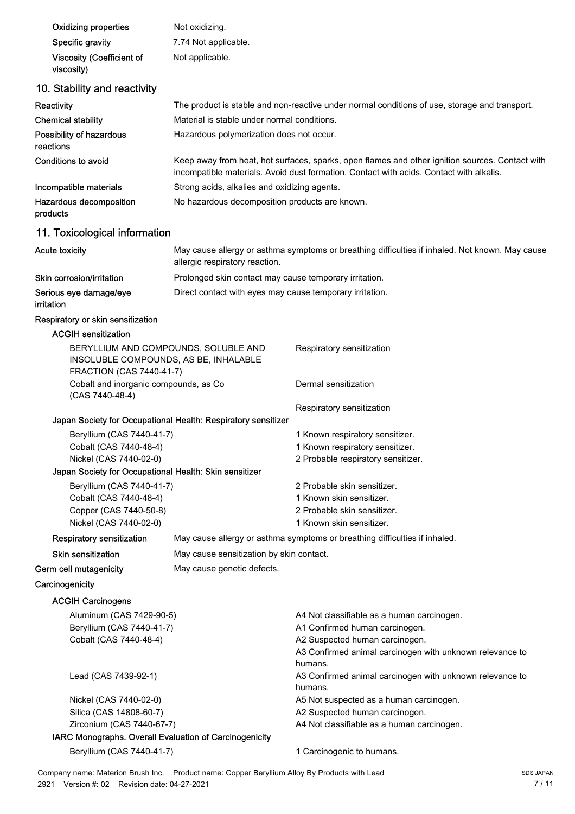| <b>Oxidizing properties</b>                                                                                                                   | Not oxidizing.                                                                                                                                                                             |                                                                              |  |  |
|-----------------------------------------------------------------------------------------------------------------------------------------------|--------------------------------------------------------------------------------------------------------------------------------------------------------------------------------------------|------------------------------------------------------------------------------|--|--|
| Specific gravity                                                                                                                              | 7.74 Not applicable.                                                                                                                                                                       |                                                                              |  |  |
| <b>Viscosity (Coefficient of</b><br>viscosity)                                                                                                | Not applicable.                                                                                                                                                                            |                                                                              |  |  |
| 10. Stability and reactivity                                                                                                                  |                                                                                                                                                                                            |                                                                              |  |  |
| Reactivity                                                                                                                                    | The product is stable and non-reactive under normal conditions of use, storage and transport.                                                                                              |                                                                              |  |  |
| <b>Chemical stability</b>                                                                                                                     | Material is stable under normal conditions.                                                                                                                                                |                                                                              |  |  |
| Possibility of hazardous                                                                                                                      |                                                                                                                                                                                            |                                                                              |  |  |
| reactions                                                                                                                                     | Hazardous polymerization does not occur.                                                                                                                                                   |                                                                              |  |  |
| <b>Conditions to avoid</b>                                                                                                                    | Keep away from heat, hot surfaces, sparks, open flames and other ignition sources. Contact with<br>incompatible materials. Avoid dust formation. Contact with acids. Contact with alkalis. |                                                                              |  |  |
| Incompatible materials                                                                                                                        | Strong acids, alkalies and oxidizing agents.                                                                                                                                               |                                                                              |  |  |
| Hazardous decomposition<br>products                                                                                                           | No hazardous decomposition products are known.                                                                                                                                             |                                                                              |  |  |
| 11. Toxicological information                                                                                                                 |                                                                                                                                                                                            |                                                                              |  |  |
| <b>Acute toxicity</b>                                                                                                                         | May cause allergy or asthma symptoms or breathing difficulties if inhaled. Not known. May cause<br>allergic respiratory reaction.                                                          |                                                                              |  |  |
| Skin corrosion/irritation                                                                                                                     | Prolonged skin contact may cause temporary irritation.                                                                                                                                     |                                                                              |  |  |
| Serious eye damage/eye<br>irritation                                                                                                          | Direct contact with eyes may cause temporary irritation.                                                                                                                                   |                                                                              |  |  |
| Respiratory or skin sensitization                                                                                                             |                                                                                                                                                                                            |                                                                              |  |  |
| <b>ACGIH sensitization</b>                                                                                                                    |                                                                                                                                                                                            |                                                                              |  |  |
| BERYLLIUM AND COMPOUNDS, SOLUBLE AND<br>Respiratory sensitization<br>INSOLUBLE COMPOUNDS, AS BE, INHALABLE<br><b>FRACTION (CAS 7440-41-7)</b> |                                                                                                                                                                                            |                                                                              |  |  |
| Cobalt and inorganic compounds, as Co<br>(CAS 7440-48-4)                                                                                      |                                                                                                                                                                                            | Dermal sensitization                                                         |  |  |
|                                                                                                                                               | Japan Society for Occupational Health: Respiratory sensitizer                                                                                                                              | Respiratory sensitization                                                    |  |  |
| Beryllium (CAS 7440-41-7)                                                                                                                     |                                                                                                                                                                                            | 1 Known respiratory sensitizer.                                              |  |  |
| Cobalt (CAS 7440-48-4)                                                                                                                        |                                                                                                                                                                                            | 1 Known respiratory sensitizer.                                              |  |  |
| Nickel (CAS 7440-02-0)                                                                                                                        |                                                                                                                                                                                            | 2 Probable respiratory sensitizer.                                           |  |  |
| Japan Society for Occupational Health: Skin sensitizer                                                                                        |                                                                                                                                                                                            |                                                                              |  |  |
| Beryllium (CAS 7440-41-7)                                                                                                                     |                                                                                                                                                                                            | 2 Probable skin sensitizer.                                                  |  |  |
| Cobalt (CAS 7440-48-4)                                                                                                                        |                                                                                                                                                                                            | 1 Known skin sensitizer.                                                     |  |  |
| Copper (CAS 7440-50-8)<br>Nickel (CAS 7440-02-0)                                                                                              | 2 Probable skin sensitizer.<br>1 Known skin sensitizer.                                                                                                                                    |                                                                              |  |  |
| <b>Respiratory sensitization</b>                                                                                                              |                                                                                                                                                                                            |                                                                              |  |  |
| <b>Skin sensitization</b>                                                                                                                     | May cause allergy or asthma symptoms or breathing difficulties if inhaled.                                                                                                                 |                                                                              |  |  |
|                                                                                                                                               | May cause sensitization by skin contact.                                                                                                                                                   |                                                                              |  |  |
| Germ cell mutagenicity                                                                                                                        | May cause genetic defects.                                                                                                                                                                 |                                                                              |  |  |
| Carcinogenicity                                                                                                                               |                                                                                                                                                                                            |                                                                              |  |  |
| <b>ACGIH Carcinogens</b>                                                                                                                      |                                                                                                                                                                                            |                                                                              |  |  |
| Aluminum (CAS 7429-90-5)                                                                                                                      |                                                                                                                                                                                            | A4 Not classifiable as a human carcinogen.<br>A1 Confirmed human carcinogen. |  |  |
| Beryllium (CAS 7440-41-7)<br>Cobalt (CAS 7440-48-4)                                                                                           |                                                                                                                                                                                            | A2 Suspected human carcinogen.                                               |  |  |
|                                                                                                                                               |                                                                                                                                                                                            | A3 Confirmed animal carcinogen with unknown relevance to<br>humans.          |  |  |
| Lead (CAS 7439-92-1)                                                                                                                          |                                                                                                                                                                                            | A3 Confirmed animal carcinogen with unknown relevance to<br>humans.          |  |  |
| Nickel (CAS 7440-02-0)                                                                                                                        |                                                                                                                                                                                            | A5 Not suspected as a human carcinogen.                                      |  |  |
| Silica (CAS 14808-60-7)                                                                                                                       |                                                                                                                                                                                            | A2 Suspected human carcinogen.                                               |  |  |
| Zirconium (CAS 7440-67-7)                                                                                                                     |                                                                                                                                                                                            | A4 Not classifiable as a human carcinogen.                                   |  |  |
| IARC Monographs. Overall Evaluation of Carcinogenicity                                                                                        |                                                                                                                                                                                            |                                                                              |  |  |
| Beryllium (CAS 7440-41-7)                                                                                                                     |                                                                                                                                                                                            | 1 Carcinogenic to humans.                                                    |  |  |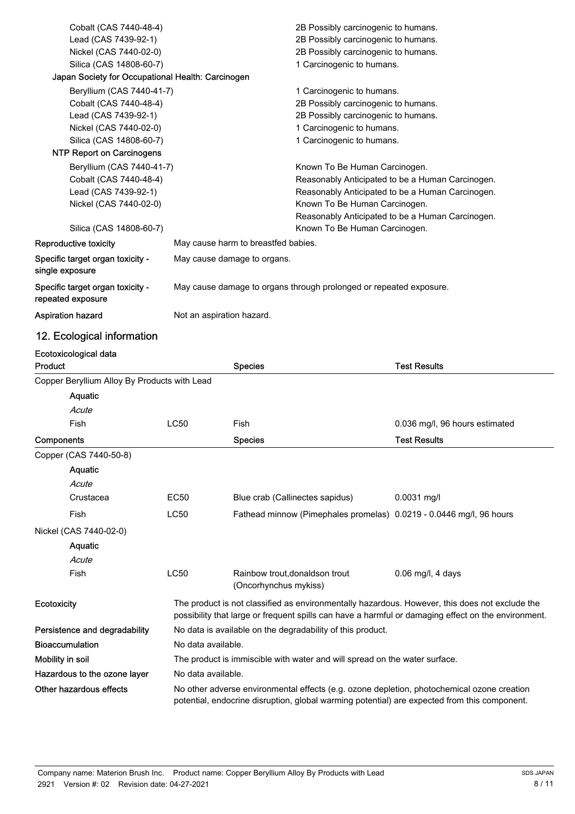| Cobalt (CAS 7440-48-4)                                                             |                                                                    | 2B Possibly carcinogenic to humans.              |
|------------------------------------------------------------------------------------|--------------------------------------------------------------------|--------------------------------------------------|
| Lead (CAS 7439-92-1)                                                               |                                                                    | 2B Possibly carcinogenic to humans.              |
| Nickel (CAS 7440-02-0)                                                             |                                                                    | 2B Possibly carcinogenic to humans.              |
| Silica (CAS 14808-60-7)                                                            |                                                                    | 1 Carcinogenic to humans.                        |
| Japan Society for Occupational Health: Carcinogen                                  |                                                                    |                                                  |
| Beryllium (CAS 7440-41-7)                                                          |                                                                    | 1 Carcinogenic to humans.                        |
| Cobalt (CAS 7440-48-4)                                                             |                                                                    | 2B Possibly carcinogenic to humans.              |
| Lead (CAS 7439-92-1)                                                               |                                                                    | 2B Possibly carcinogenic to humans.              |
| Nickel (CAS 7440-02-0)                                                             |                                                                    | 1 Carcinogenic to humans.                        |
| Silica (CAS 14808-60-7)                                                            |                                                                    | 1 Carcinogenic to humans.                        |
| <b>NTP Report on Carcinogens</b>                                                   |                                                                    |                                                  |
| Beryllium (CAS 7440-41-7)                                                          |                                                                    | Known To Be Human Carcinogen.                    |
| Cobalt (CAS 7440-48-4)                                                             |                                                                    | Reasonably Anticipated to be a Human Carcinogen. |
| Lead (CAS 7439-92-1)                                                               |                                                                    | Reasonably Anticipated to be a Human Carcinogen. |
| Nickel (CAS 7440-02-0)                                                             |                                                                    | Known To Be Human Carcinogen.                    |
|                                                                                    |                                                                    | Reasonably Anticipated to be a Human Carcinogen. |
| Silica (CAS 14808-60-7)                                                            |                                                                    | Known To Be Human Carcinogen.                    |
| <b>Reproductive toxicity</b>                                                       | May cause harm to breastfed babies.                                |                                                  |
| Specific target organ toxicity -<br>May cause damage to organs.<br>single exposure |                                                                    |                                                  |
| Specific target organ toxicity -<br>repeated exposure                              | May cause damage to organs through prolonged or repeated exposure. |                                                  |
| Aspiration hazard                                                                  | Not an aspiration hazard.                                          |                                                  |

## 12. Ecological information

| Ecotoxicological data                        |                                                                                                                                                                                                       |                                                                            |                                |  |
|----------------------------------------------|-------------------------------------------------------------------------------------------------------------------------------------------------------------------------------------------------------|----------------------------------------------------------------------------|--------------------------------|--|
| Product                                      |                                                                                                                                                                                                       | <b>Species</b>                                                             | <b>Test Results</b>            |  |
| Copper Beryllium Alloy By Products with Lead |                                                                                                                                                                                                       |                                                                            |                                |  |
| Aquatic                                      |                                                                                                                                                                                                       |                                                                            |                                |  |
| Acute                                        |                                                                                                                                                                                                       |                                                                            |                                |  |
| Fish                                         | <b>LC50</b>                                                                                                                                                                                           | Fish                                                                       | 0.036 mg/l, 96 hours estimated |  |
| <b>Components</b>                            |                                                                                                                                                                                                       | <b>Species</b>                                                             | <b>Test Results</b>            |  |
| Copper (CAS 7440-50-8)                       |                                                                                                                                                                                                       |                                                                            |                                |  |
| Aquatic                                      |                                                                                                                                                                                                       |                                                                            |                                |  |
| Acute                                        |                                                                                                                                                                                                       |                                                                            |                                |  |
| Crustacea                                    | <b>EC50</b>                                                                                                                                                                                           | Blue crab (Callinectes sapidus)                                            | $0.0031$ mg/l                  |  |
| Fish                                         | <b>LC50</b>                                                                                                                                                                                           | Fathead minnow (Pimephales promelas) 0.0219 - 0.0446 mg/l, 96 hours        |                                |  |
| Nickel (CAS 7440-02-0)                       |                                                                                                                                                                                                       |                                                                            |                                |  |
| Aquatic                                      |                                                                                                                                                                                                       |                                                                            |                                |  |
| Acute                                        |                                                                                                                                                                                                       |                                                                            |                                |  |
| Fish                                         | <b>LC50</b>                                                                                                                                                                                           | Rainbow trout.donaldson trout<br>(Oncorhynchus mykiss)                     | $0.06$ mg/l, 4 days            |  |
| <b>Ecotoxicity</b>                           | The product is not classified as environmentally hazardous. However, this does not exclude the<br>possibility that large or frequent spills can have a harmful or damaging effect on the environment. |                                                                            |                                |  |
| Persistence and degradability                |                                                                                                                                                                                                       | No data is available on the degradability of this product.                 |                                |  |
| <b>Bioaccumulation</b>                       | No data available.                                                                                                                                                                                    |                                                                            |                                |  |
| Mobility in soil                             |                                                                                                                                                                                                       | The product is immiscible with water and will spread on the water surface. |                                |  |
| Hazardous to the ozone layer                 |                                                                                                                                                                                                       | No data available.                                                         |                                |  |
| Other hazardous effects                      | No other adverse environmental effects (e.g. ozone depletion, photochemical ozone creation<br>potential, endocrine disruption, global warming potential) are expected from this component.            |                                                                            |                                |  |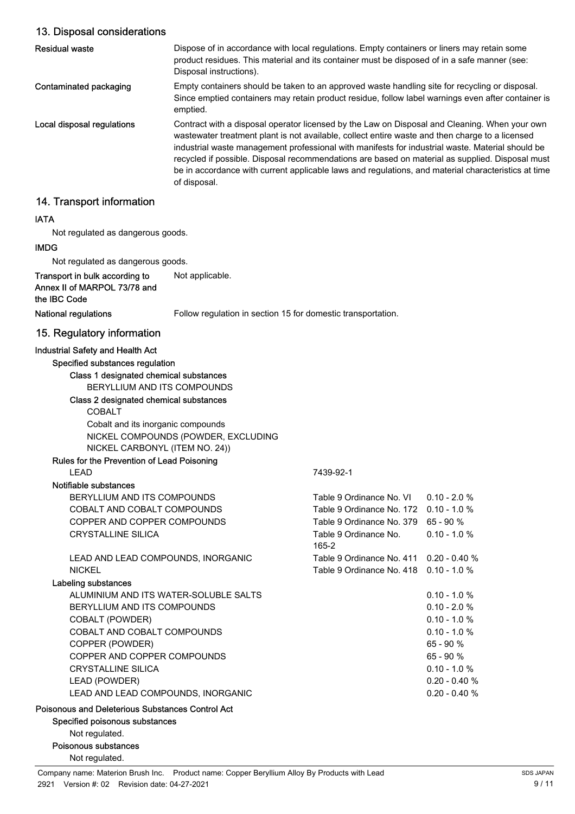## 13. Disposal considerations

| <b>Residual waste</b>      | Dispose of in accordance with local regulations. Empty containers or liners may retain some<br>product residues. This material and its container must be disposed of in a safe manner (see:<br>Disposal instructions).                                                                                                                                                                                                                                                                                                         |
|----------------------------|--------------------------------------------------------------------------------------------------------------------------------------------------------------------------------------------------------------------------------------------------------------------------------------------------------------------------------------------------------------------------------------------------------------------------------------------------------------------------------------------------------------------------------|
| Contaminated packaging     | Empty containers should be taken to an approved waste handling site for recycling or disposal.<br>Since emptied containers may retain product residue, follow label warnings even after container is<br>emptied.                                                                                                                                                                                                                                                                                                               |
| Local disposal regulations | Contract with a disposal operator licensed by the Law on Disposal and Cleaning. When your own<br>wastewater treatment plant is not available, collect entire waste and then charge to a licensed<br>industrial waste management professional with manifests for industrial waste. Material should be<br>recycled if possible. Disposal recommendations are based on material as supplied. Disposal must<br>be in accordance with current applicable laws and regulations, and material characteristics at time<br>of disposal. |
| 14. Transport information  |                                                                                                                                                                                                                                                                                                                                                                                                                                                                                                                                |

# IATA

Not regulated as dangerous goods.

## IMDG

Not regulated as dangerous goods.

Transport in bulk according to Not applicable. Annex II of MARPOL 73/78 and the IBC Code

National regulations Follow regulation in section 15 for domestic transportation.

## 15. Regulatory information

#### Industrial Safety and Health Act

Specified substances regulation

## Class 1 designated chemical substances

BERYLLIUM AND ITS COMPOUNDS

## Class 2 designated chemical substances COBALT Cobalt and its inorganic compounds NICKEL COMPOUNDS (POWDER, EXCLUDING NICKEL CARBONYL (ITEM NO. 24))

#### Rules for the Prevention of Lead Poisoning LEAD 7439-92-1

## Notifiable substances

## Labeling substances

| BERYLLIUM AND ITS COMPOUNDS           | Table 9 Ordinance No. VI                | $0.10 - 2.0 %$   |
|---------------------------------------|-----------------------------------------|------------------|
| COBALT AND COBALT COMPOUNDS           | Table 9 Ordinance No. 172 0.10 - 1.0 %  |                  |
| COPPER AND COPPER COMPOUNDS           | Table 9 Ordinance No. 379 65 - 90 %     |                  |
| CRYSTALLINE SILICA                    | Table 9 Ordinance No.<br>165-2          | $0.10 - 1.0 %$   |
| LEAD AND LEAD COMPOUNDS, INORGANIC    | Table 9 Ordinance No. 411 0.20 - 0.40 % |                  |
| NICKEL                                | Table 9 Ordinance No. 418 0.10 - 1.0 %  |                  |
| eling substances                      |                                         |                  |
| ALUMINIUM AND ITS WATER-SOLUBLE SALTS |                                         | $0.10 - 1.0 %$   |
| BERYLLIUM AND ITS COMPOUNDS           |                                         | $0.10 - 2.0 %$   |
| COBALT (POWDER)                       |                                         | $0.10 - 1.0 %$   |
| COBALT AND COBALT COMPOUNDS           |                                         | $0.10 - 1.0 %$   |
| COPPER (POWDER)                       |                                         | $65 - 90 \%$     |
| COPPER AND COPPER COMPOUNDS           |                                         | $65 - 90 %$      |
| CRYSTALLINE SILICA                    |                                         | $0.10 - 1.0 %$   |
| LEAD (POWDER)                         |                                         | $0.20 - 0.40 \%$ |
| LEAD AND LEAD COMPOUNDS, INORGANIC    |                                         | $0.20 - 0.40 \%$ |

## Poisonous and Deleterious Substances Control Act

Specified poisonous substances

Not regulated.

Poisonous substances

Not regulated.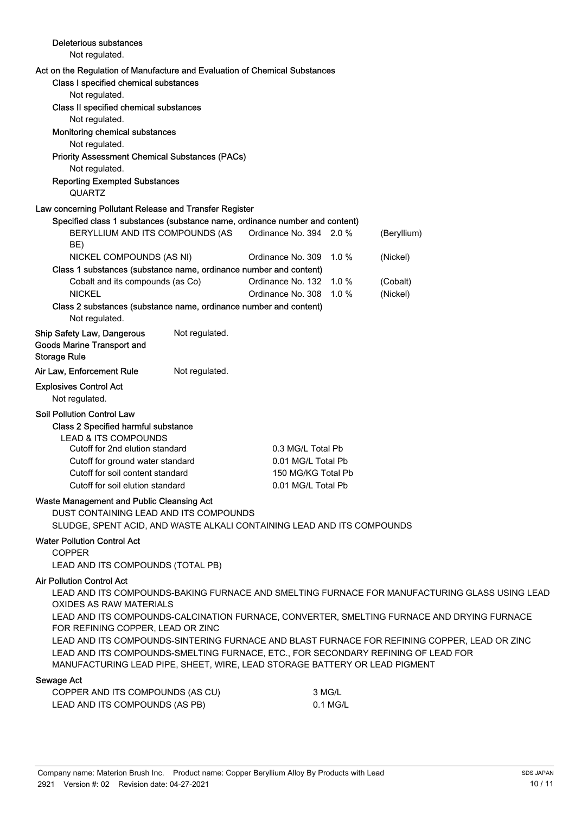| Deleterious substances                                                                                                                                                                               |                |                         |                    |                                                                                                                                                                                             |
|------------------------------------------------------------------------------------------------------------------------------------------------------------------------------------------------------|----------------|-------------------------|--------------------|---------------------------------------------------------------------------------------------------------------------------------------------------------------------------------------------|
| Not regulated.                                                                                                                                                                                       |                |                         |                    |                                                                                                                                                                                             |
| Act on the Regulation of Manufacture and Evaluation of Chemical Substances<br>Class I specified chemical substances<br>Not regulated.                                                                |                |                         |                    |                                                                                                                                                                                             |
| Class II specified chemical substances<br>Not regulated.                                                                                                                                             |                |                         |                    |                                                                                                                                                                                             |
| Monitoring chemical substances<br>Not regulated.                                                                                                                                                     |                |                         |                    |                                                                                                                                                                                             |
| <b>Priority Assessment Chemical Substances (PACs)</b><br>Not regulated.                                                                                                                              |                |                         |                    |                                                                                                                                                                                             |
| <b>Reporting Exempted Substances</b><br><b>QUARTZ</b>                                                                                                                                                |                |                         |                    |                                                                                                                                                                                             |
| Law concerning Pollutant Release and Transfer Register                                                                                                                                               |                |                         |                    |                                                                                                                                                                                             |
| Specified class 1 substances (substance name, ordinance number and content)                                                                                                                          |                |                         |                    |                                                                                                                                                                                             |
| BERYLLIUM AND ITS COMPOUNDS (AS<br>BE)                                                                                                                                                               |                | Ordinance No. 394 2.0 % |                    | (Beryllium)                                                                                                                                                                                 |
| NICKEL COMPOUNDS (AS NI)<br>Class 1 substances (substance name, ordinance number and content)                                                                                                        |                | Ordinance No. 309       | 1.0%               | (Nickel)                                                                                                                                                                                    |
| Cobalt and its compounds (as Co)                                                                                                                                                                     |                | Ordinance No. 132 1.0 % |                    | (Cobalt)                                                                                                                                                                                    |
| <b>NICKEL</b>                                                                                                                                                                                        |                | Ordinance No. 308       | $1.0 \%$           | (Nickel)                                                                                                                                                                                    |
| Class 2 substances (substance name, ordinance number and content)<br>Not regulated.                                                                                                                  |                |                         |                    |                                                                                                                                                                                             |
| <b>Ship Safety Law, Dangerous</b><br><b>Goods Marine Transport and</b><br><b>Storage Rule</b>                                                                                                        | Not regulated. |                         |                    |                                                                                                                                                                                             |
| Air Law, Enforcement Rule                                                                                                                                                                            | Not regulated. |                         |                    |                                                                                                                                                                                             |
| <b>Explosives Control Act</b><br>Not regulated.                                                                                                                                                      |                |                         |                    |                                                                                                                                                                                             |
| <b>Soil Pollution Control Law</b><br>Class 2 Specified harmful substance<br><b>LEAD &amp; ITS COMPOUNDS</b><br>Cutoff for 2nd elution standard                                                       |                | 0.3 MG/L Total Pb       |                    |                                                                                                                                                                                             |
| Cutoff for ground water standard                                                                                                                                                                     |                | 0.01 MG/L Total Pb      |                    |                                                                                                                                                                                             |
| Cutoff for soil content standard                                                                                                                                                                     |                | 150 MG/KG Total Pb      |                    |                                                                                                                                                                                             |
| Cutoff for soil elution standard                                                                                                                                                                     |                | 0.01 MG/L Total Pb      |                    |                                                                                                                                                                                             |
| Waste Management and Public Cleansing Act<br>DUST CONTAINING LEAD AND ITS COMPOUNDS                                                                                                                  |                |                         |                    |                                                                                                                                                                                             |
| SLUDGE, SPENT ACID, AND WASTE ALKALI CONTAINING LEAD AND ITS COMPOUNDS                                                                                                                               |                |                         |                    |                                                                                                                                                                                             |
| <b>Water Pollution Control Act</b><br><b>COPPER</b>                                                                                                                                                  |                |                         |                    |                                                                                                                                                                                             |
| LEAD AND ITS COMPOUNDS (TOTAL PB)                                                                                                                                                                    |                |                         |                    |                                                                                                                                                                                             |
| <b>Air Pollution Control Act</b><br><b>OXIDES AS RAW MATERIALS</b>                                                                                                                                   |                |                         |                    | LEAD AND ITS COMPOUNDS-BAKING FURNACE AND SMELTING FURNACE FOR MANUFACTURING GLASS USING LEAD<br>LEAD AND ITS COMPOUNDS-CALCINATION FURNACE, CONVERTER, SMELTING FURNACE AND DRYING FURNACE |
| FOR REFINING COPPER, LEAD OR ZINC<br>LEAD AND ITS COMPOUNDS-SMELTING FURNACE, ETC., FOR SECONDARY REFINING OF LEAD FOR<br>MANUFACTURING LEAD PIPE, SHEET, WIRE, LEAD STORAGE BATTERY OR LEAD PIGMENT |                |                         |                    | LEAD AND ITS COMPOUNDS-SINTERING FURNACE AND BLAST FURNACE FOR REFINING COPPER, LEAD OR ZINC                                                                                                |
| Sewage Act                                                                                                                                                                                           |                |                         |                    |                                                                                                                                                                                             |
| COPPER AND ITS COMPOUNDS (AS CU)<br>LEAD AND ITS COMPOUNDS (AS PB)                                                                                                                                   |                |                         | 3 MG/L<br>0.1 MG/L |                                                                                                                                                                                             |
|                                                                                                                                                                                                      |                |                         |                    |                                                                                                                                                                                             |